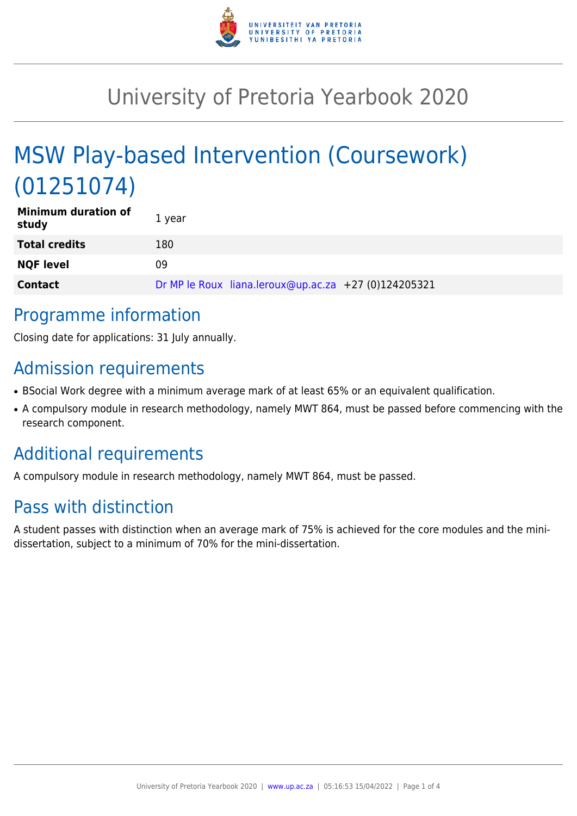

# University of Pretoria Yearbook 2020

# MSW Play-based Intervention (Coursework) (01251074)

| <b>Minimum duration of</b><br>study | 1 year                                               |
|-------------------------------------|------------------------------------------------------|
| <b>Total credits</b>                | 180                                                  |
| <b>NQF level</b>                    | 09                                                   |
| <b>Contact</b>                      | Dr MP le Roux liana.leroux@up.ac.za +27 (0)124205321 |

# Programme information

Closing date for applications: 31 July annually.

# Admission requirements

- BSocial Work degree with a minimum average mark of at least 65% or an equivalent qualification.
- A compulsory module in research methodology, namely MWT 864, must be passed before commencing with the research component.

# Additional requirements

A compulsory module in research methodology, namely MWT 864, must be passed.

# Pass with distinction

A student passes with distinction when an average mark of 75% is achieved for the core modules and the minidissertation, subject to a minimum of 70% for the mini-dissertation.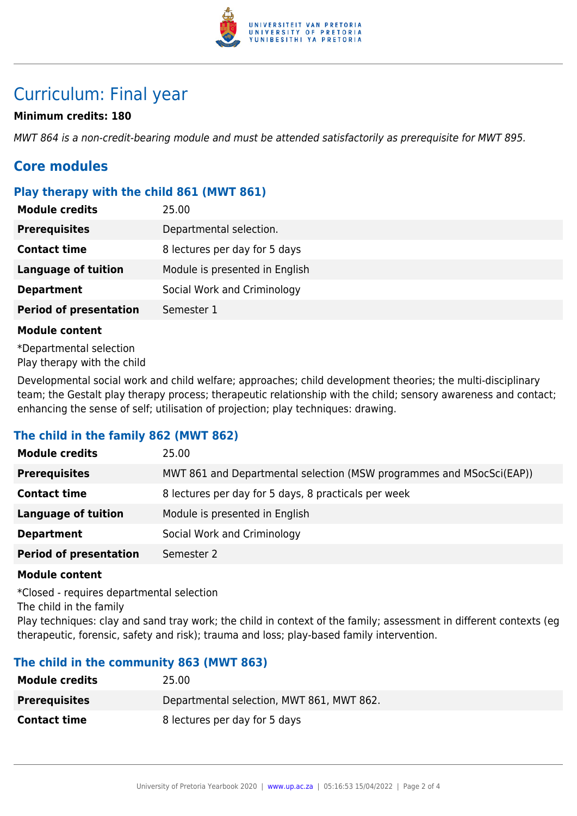

# Curriculum: Final year

### **Minimum credits: 180**

MWT 864 is a non-credit-bearing module and must be attended satisfactorily as prerequisite for MWT 895.

## **Core modules**

### **Play therapy with the child 861 (MWT 861)**

| <b>Module credits</b>         | 25.00                          |
|-------------------------------|--------------------------------|
| <b>Prerequisites</b>          | Departmental selection.        |
| <b>Contact time</b>           | 8 lectures per day for 5 days  |
| <b>Language of tuition</b>    | Module is presented in English |
| <b>Department</b>             | Social Work and Criminology    |
| <b>Period of presentation</b> | Semester 1                     |

#### **Module content**

\*Departmental selection Play therapy with the child

Developmental social work and child welfare; approaches; child development theories; the multi-disciplinary team; the Gestalt play therapy process; therapeutic relationship with the child; sensory awareness and contact; enhancing the sense of self; utilisation of projection; play techniques: drawing.

### **The child in the family 862 (MWT 862)**

| <b>Module credits</b>         | 25.00                                                                |
|-------------------------------|----------------------------------------------------------------------|
| <b>Prerequisites</b>          | MWT 861 and Departmental selection (MSW programmes and MSocSci(EAP)) |
| <b>Contact time</b>           | 8 lectures per day for 5 days, 8 practicals per week                 |
| <b>Language of tuition</b>    | Module is presented in English                                       |
| <b>Department</b>             | Social Work and Criminology                                          |
| <b>Period of presentation</b> | Semester 2                                                           |

#### **Module content**

\*Closed - requires departmental selection The child in the family

Play techniques: clay and sand tray work; the child in context of the family; assessment in different contexts (eg therapeutic, forensic, safety and risk); trauma and loss; play-based family intervention.

### **The child in the community 863 (MWT 863)**

| <b>Module credits</b> | 25.00                                     |
|-----------------------|-------------------------------------------|
| <b>Prerequisites</b>  | Departmental selection, MWT 861, MWT 862. |
| <b>Contact time</b>   | 8 lectures per day for 5 days             |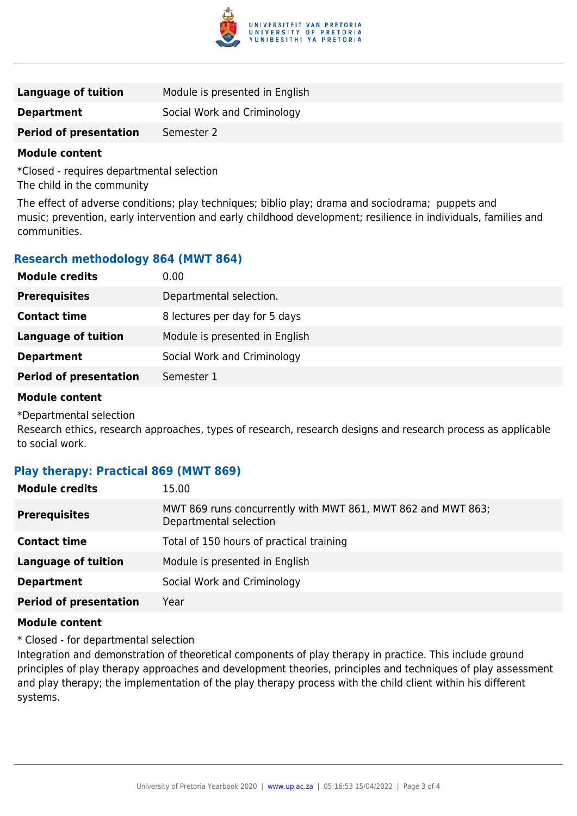

| Language of tuition           | Module is presented in English |
|-------------------------------|--------------------------------|
| <b>Department</b>             | Social Work and Criminology    |
| <b>Period of presentation</b> | Semester 2                     |

#### **Module content**

\*Closed - requires departmental selection The child in the community

The effect of adverse conditions; play techniques; biblio play; drama and sociodrama; puppets and music; prevention, early intervention and early childhood development; resilience in individuals, families and communities.

## **Research methodology 864 (MWT 864)**

| <b>Module credits</b>         | 0.00                           |
|-------------------------------|--------------------------------|
| <b>Prerequisites</b>          | Departmental selection.        |
| <b>Contact time</b>           | 8 lectures per day for 5 days  |
| <b>Language of tuition</b>    | Module is presented in English |
| <b>Department</b>             | Social Work and Criminology    |
| <b>Period of presentation</b> | Semester 1                     |

#### **Module content**

\*Departmental selection

Research ethics, research approaches, types of research, research designs and research process as applicable to social work.

### **Play therapy: Practical 869 (MWT 869)**

| <b>Module credits</b>         | 15.00                                                                                  |
|-------------------------------|----------------------------------------------------------------------------------------|
| <b>Prerequisites</b>          | MWT 869 runs concurrently with MWT 861, MWT 862 and MWT 863;<br>Departmental selection |
| <b>Contact time</b>           | Total of 150 hours of practical training                                               |
| <b>Language of tuition</b>    | Module is presented in English                                                         |
| <b>Department</b>             | Social Work and Criminology                                                            |
| <b>Period of presentation</b> | Year                                                                                   |

#### **Module content**

\* Closed - for departmental selection

Integration and demonstration of theoretical components of play therapy in practice. This include ground principles of play therapy approaches and development theories, principles and techniques of play assessment and play therapy; the implementation of the play therapy process with the child client within his different systems.